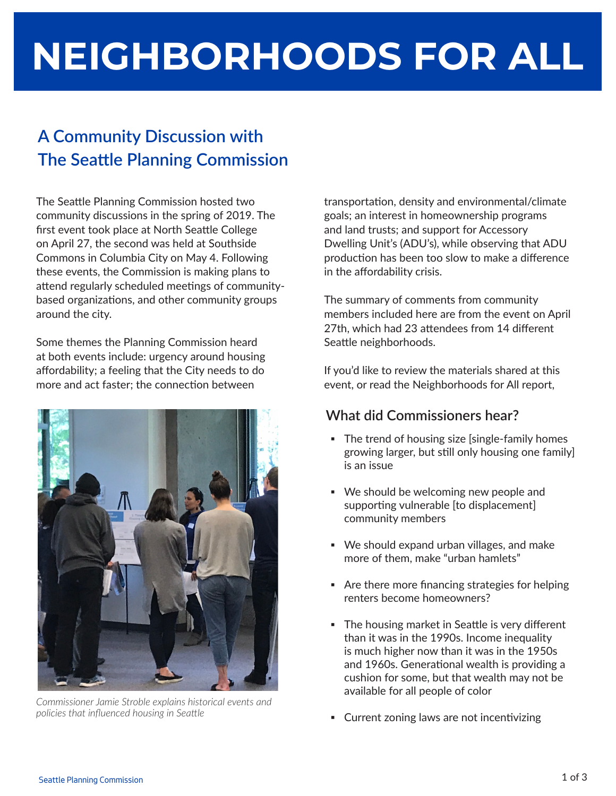# **NEIGHBORHOODS FOR ALL**

## **A Community Discussion with The Seattle Planning Commission**

The Seattle Planning Commission hosted two community discussions in the spring of 2019. The first event took place at North Seattle College on April 27, the second was held at Southside Commons in Columbia City on May 4. Following these events, the Commission is making plans to attend regularly scheduled meetings of communitybased organizations, and other community groups around the city.

Some themes the Planning Commission heard at both events include: urgency around housing affordability; a feeling that the City needs to do more and act faster; the connection between



*Commissioner Jamie Stroble explains historical events and policies that influenced housing in Seattle*

transportation, density and environmental/climate goals; an interest in homeownership programs and land trusts; and support for Accessory Dwelling Unit's (ADU's), while observing that ADU production has been too slow to make a difference in the affordability crisis.

The summary of comments from community members included here are from the event on April 27th, which had 23 attendees from 14 different Seattle neighborhoods.

If you'd like to review the materials shared at this event, or read the Neighborhoods for All report,

#### **What did Commissioners hear?**

- The trend of housing size [single-family homes growing larger, but still only housing one family] is an issue
- We should be welcoming new people and supporting vulnerable [to displacement] community members
- We should expand urban villages, and make more of them, make "urban hamlets"
- Are there more financing strategies for helping renters become homeowners?
- **The housing market in Seattle is very different** than it was in the 1990s. Income inequality is much higher now than it was in the 1950s and 1960s. Generational wealth is providing a cushion for some, but that wealth may not be available for all people of color
- Current zoning laws are not incentivizing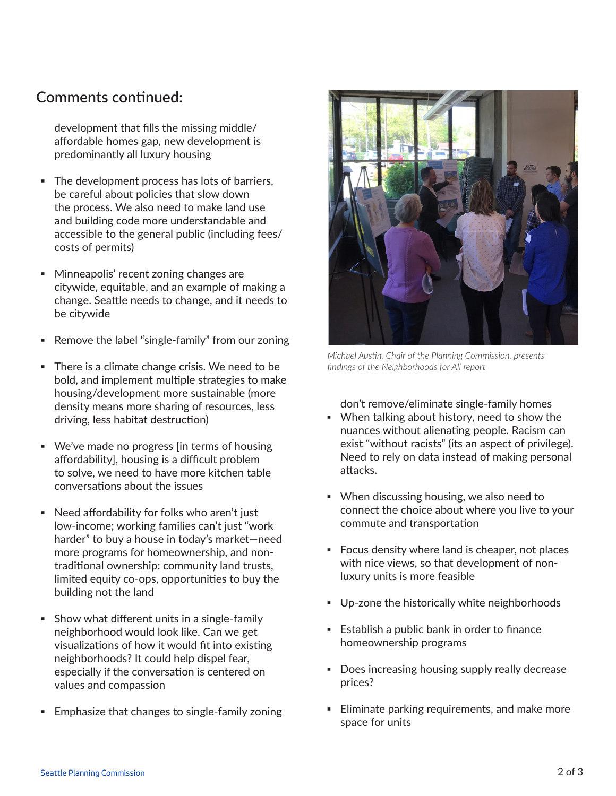#### **Comments continued:**

development that fills the missing middle/ affordable homes gap, new development is predominantly all luxury housing

- **The development process has lots of barriers,** be careful about policies that slow down the process. We also need to make land use and building code more understandable and accessible to the general public (including fees/ costs of permits)
- Minneapolis' recent zoning changes are citywide, equitable, and an example of making a change. Seattle needs to change, and it needs to be citywide
- Remove the label "single-family" from our zoning
- **There is a climate change crisis. We need to be** bold, and implement multiple strategies to make housing/development more sustainable (more density means more sharing of resources, less driving, less habitat destruction)
- We've made no progress [in terms of housing affordability], housing is a difficult problem to solve, we need to have more kitchen table conversations about the issues
- Need affordability for folks who aren't just low-income; working families can't just "work harder" to buy a house in today's market—need more programs for homeownership, and nontraditional ownership: community land trusts, limited equity co-ops, opportunities to buy the building not the land
- **•** Show what different units in a single-family neighborhood would look like. Can we get visualizations of how it would fit into existing neighborhoods? It could help dispel fear, especially if the conversation is centered on values and compassion
- **Emphasize that changes to single-family zoning**



*Michael Austin, Chair of the Planning Commission, presents findings of the Neighborhoods for All report* 

don't remove/eliminate single-family homes

- When talking about history, need to show the nuances without alienating people. Racism can exist "without racists" (its an aspect of privilege). Need to rely on data instead of making personal attacks.
- When discussing housing, we also need to connect the choice about where you live to your commute and transportation
- Focus density where land is cheaper, not places with nice views, so that development of nonluxury units is more feasible
- Up-zone the historically white neighborhoods
- Establish a public bank in order to finance homeownership programs
- Does increasing housing supply really decrease prices?
- **Eliminate parking requirements, and make more** space for units